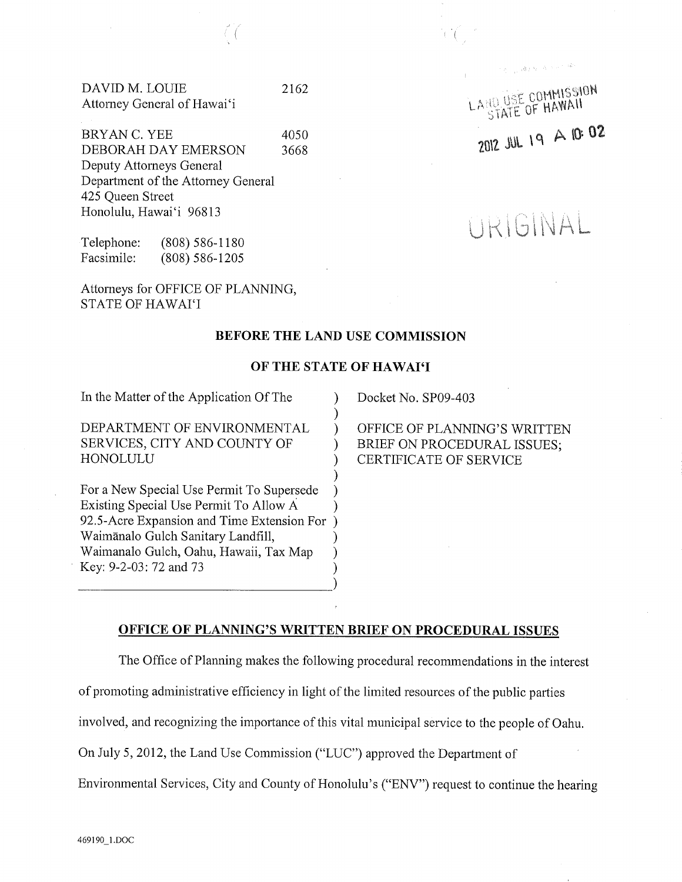DAVID M. LOUIE Attorney General of Hawai'i

J

4050 3668 BRYAN C. YEE DEBORAH DAY EMERSON Deputy Attorneys General Department of the Attorney General 425 Queen Street Honolulu, Hawai'i 96813

Telephone: Facsimile: (808) 586-1180 (808) 586-1205

Attorneys for OFFICE OF PLANNING, STATE OF HAWAI'I

#### BEFORE THE LAND USE COMMISSION

# OF THE STATE OF HAWAI'I

) ) ) ) ) ) ) )

In the Matter of the Application Of The

DEPARTMENT OF ENVIRONMENTAL SERVICES, CITY AND COUNTY OF HONOLULU

For a New Special Use Permit To Supersede Existing Special Use Permit To Allow A 92.5-Acre Expansion and Time Extension For ) Waimānalo Gulch Sanitary Landfill, Waimanalo Gulch, Oahu, Hawaii, Tax Map Key: 9-2-03:72 and 73

Docket No. SP09-403

OFFICE OF PLANNING'S WRITTEN BRIEF ON PROCEDURAL ISSUES; CERTIFICATE OF SERVICE

'l

# OFFICE OF PLANNING'S WRITTEN BRIEF ON PROCEDURAL ISSUES

) ) ) )

The Office of Planning makes the following procedural recommendations in the interest

of promoting administrative efficiency in light of the limited resources of the public parties

involved, and recognizing the importance of this vital municipal service to the people of Oahu.

On July 5, 2012, the Land Use Commission ("LUC") approved the Department of

Environmental Services, City and County of Honolulu's ("ENV") request to continue the hearing

LAND USE COMMISSION **HD USE CUMMALL**  $2012$  JUL 19 A 10:02

 $\mathcal{A}^{\pm}_{\mathcal{A}}(\mathcal{A}^{\pm}_{\mathcal{A}}(\mathcal{A}^{\pm}_{\mathcal{A}})^{\pm})$ 

TRIGINAL

2162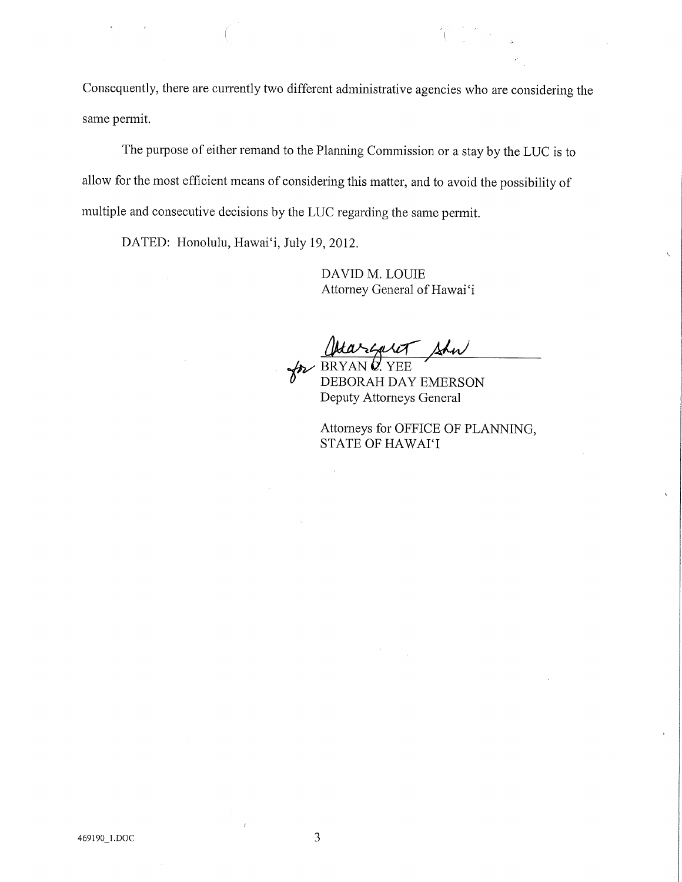Consequently, there are currently two different administrative agencies who are considering the same permit.

The purpose of either remand to the Planning Commission or a stay by the LUC is to allow for the most efficient means of considering this matter, and to avoid the possibility of multiple and consecutive decisions by the LUC regarding the same permit.

DATED: Honolulu, Hawai'i, July 19, 2012.

DAVID M. LOUIE Attorney General of Hawai'i

Shw BRYAN Ø. YEE

DEBORAH DAY EMERSON Deputy Attorneys General

Attorneys for OFFICE OF PLANNING, STATE OF HAWAI'I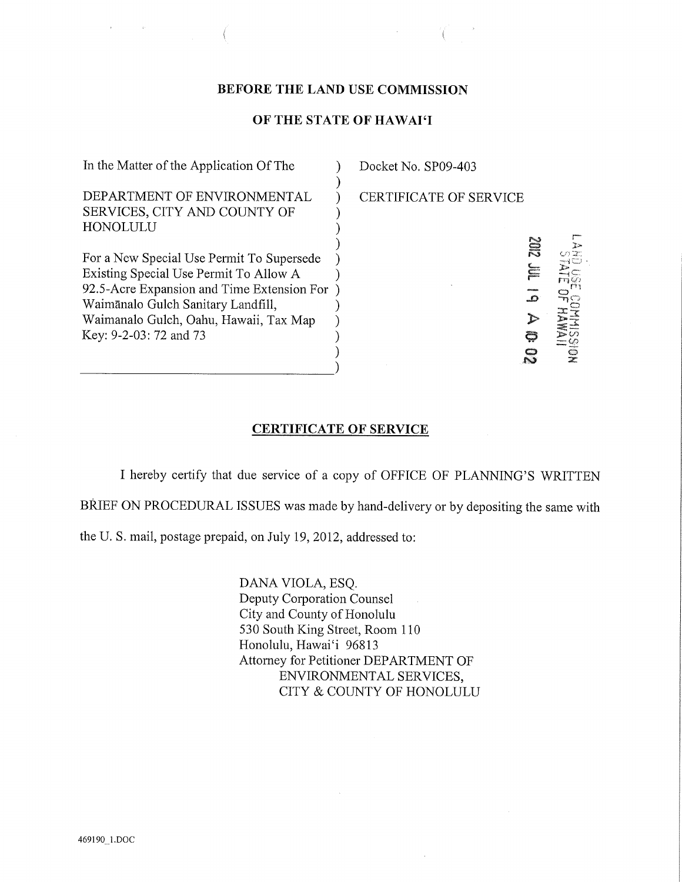### BEFORE THE LAND USE COMMISSION

# OF THE STATE OF HAWAI'I

| In the Matter of the Application Of The                                                                                                                                                                                                     | Docket No. SP09-403                       |
|---------------------------------------------------------------------------------------------------------------------------------------------------------------------------------------------------------------------------------------------|-------------------------------------------|
| DEPARTMENT OF ENVIRONMENTAL<br>SERVICES, CITY AND COUNTY OF<br>HONOLULU                                                                                                                                                                     | <b>CERTIFICATE OF SERVICE</b>             |
| For a New Special Use Permit To Supersede<br>Existing Special Use Permit To Allow A<br>92.5-Acre Expansion and Time Extension For<br>Waimānalo Gulch Sanitary Landfill,<br>Waimanalo Gulch, Oahu, Hawaii, Tax Map<br>Key: 9-2-03: 72 and 73 | <b>NS</b><br>$\Xi$<br>م<br>$\frac{19}{2}$ |

## CERTIFICATE OF SERVICE

I hereby certify that due service of a copy of OFFICE OF PLANNING'S WRITTEN BRIEF ON PROCEDURAL ISSUES was made by hand-delivery or by depositing the same with

the U. S. mail, postage prepaid, on July 19, 2012, addressed to:

DANA VIOLA, ESQ. Deputy Corporation Counsel City and County of Honolulu 530 South King Street, Room 110 Honolulu, Hawai'i 96813 Attorney for Petitioner DEPARTMENT OF ENVIRONMENTAL SERVICES, CITY & COUNTY OF HONOLULU